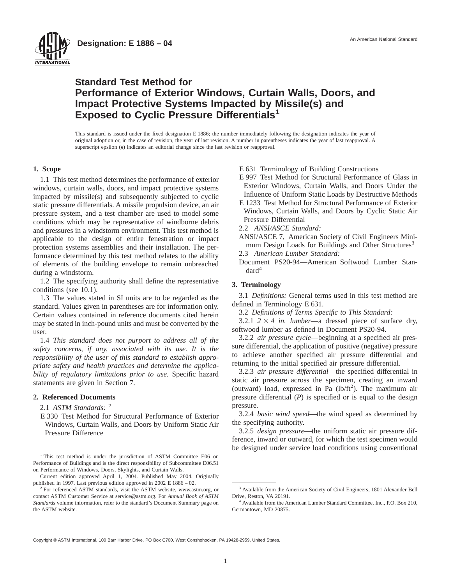



# **Standard Test Method for Performance of Exterior Windows, Curtain Walls, Doors, and Impact Protective Systems Impacted by Missile(s) and Exposed to Cyclic Pressure Differentials<sup>1</sup>**

This standard is issued under the fixed designation E 1886; the number immediately following the designation indicates the year of original adoption or, in the case of revision, the year of last revision. A number in parentheses indicates the year of last reapproval. A superscript epsilon  $(\epsilon)$  indicates an editorial change since the last revision or reapproval.

## **1. Scope**

1.1 This test method determines the performance of exterior windows, curtain walls, doors, and impact protective systems impacted by missile(s) and subsequently subjected to cyclic static pressure differentials. A missile propulsion device, an air pressure system, and a test chamber are used to model some conditions which may be representative of windborne debris and pressures in a windstorm environment. This test method is applicable to the design of entire fenestration or impact protection systems assemblies and their installation. The performance determined by this test method relates to the ability of elements of the building envelope to remain unbreached during a windstorm.

1.2 The specifying authority shall define the representative conditions (see 10.1).

1.3 The values stated in SI units are to be regarded as the standard. Values given in parentheses are for information only. Certain values contained in reference documents cited herein may be stated in inch-pound units and must be converted by the user.

1.4 *This standard does not purport to address all of the safety concerns, if any, associated with its use. It is the responsibility of the user of this standard to establish appropriate safety and health practices and determine the applicability of regulatory limitations prior to use.* Specific hazard statements are given in Section 7.

## **2. Referenced Documents**

2.1 *ASTM Standards:* <sup>2</sup>

E 330 Test Method for Structural Performance of Exterior Windows, Curtain Walls, and Doors by Uniform Static Air Pressure Difference

- E 997 Test Method for Structural Performance of Glass in Exterior Windows, Curtain Walls, and Doors Under the Influence of Uniform Static Loads by Destructive Methods
- E 1233 Test Method for Structural Performance of Exterior Windows, Curtain Walls, and Doors by Cyclic Static Air Pressure Differential
- 2.2 *ANSI/ASCE Standard:*
- ANSI/ASCE 7, American Society of Civil Engineers Minimum Design Loads for Buildings and Other Structures<sup>3</sup>
- 2.3 *American Lumber Standard:*
- Document PS20-94—American Softwood Lumber Stan $dard<sup>4</sup>$

# **3. Terminology**

3.1 *Definitions:* General terms used in this test method are defined in Terminology E 631.

3.2 *Definitions of Terms Specific to This Standard:*

3.2.1  $2 \times 4$  *in. lumber*—a dressed piece of surface dry, softwood lumber as defined in Document PS20-94.

3.2.2 *air pressure cycle*—beginning at a specified air pressure differential, the application of positive (negative) pressure to achieve another specified air pressure differential and returning to the initial specified air pressure differential.

3.2.3 *air pressure differential*—the specified differential in static air pressure across the specimen, creating an inward (outward) load, expressed in Pa  $(lb/ft^2)$ . The maximum air pressure differential (*P*) is specified or is equal to the design pressure.

3.2.4 *basic wind speed*—the wind speed as determined by the specifying authority.

3.2.5 *design pressure*—the uniform static air pressure difference, inward or outward, for which the test specimen would be designed under service load conditions using conventional

Copyright © ASTM International, 100 Barr Harbor Drive, PO Box C700, West Conshohocken, PA 19428-2959, United States.

<sup>&</sup>lt;sup>1</sup> This test method is under the jurisdiction of ASTM Committee E06 on Performance of Buildings and is the direct responsibility of Subcommittee E06.51 on Performance of Windows, Doors, Skylights, and Curtain Walls.

Current edition approved April 1, 2004. Published May 2004. Originally published in 1997. Last previous edition approved in 2002 E 1886 – 02.

<sup>2</sup> For referenced ASTM standards, visit the ASTM website, www.astm.org, or contact ASTM Customer Service at service@astm.org. For *Annual Book of ASTM Standards* volume information, refer to the standard's Document Summary page on the ASTM website.

E 631 Terminology of Building Constructions

<sup>3</sup> Available from the American Society of Civil Engineers, 1801 Alexander Bell Drive, Reston, VA 20191.

<sup>4</sup> Available from the American Lumber Standard Committee, Inc., P.O. Box 210, Germantown, MD 20875.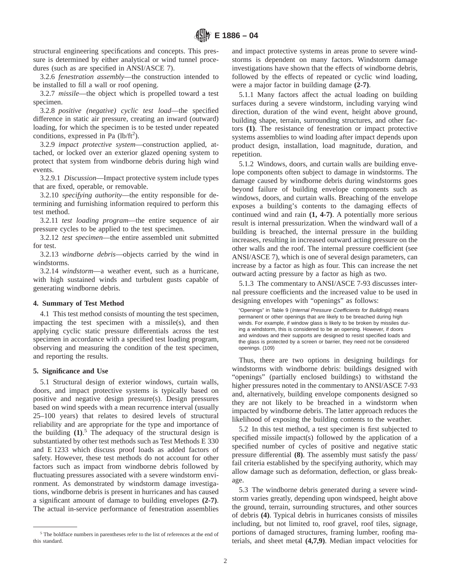structural engineering specifications and concepts. This pressure is determined by either analytical or wind tunnel procedures (such as are specified in ANSI/ASCE 7).

3.2.6 *fenestration assembly*—the construction intended to be installed to fill a wall or roof opening.

3.2.7 *missile*—the object which is propelled toward a test specimen.

3.2.8 *positive (negative) cyclic test load*—the specified difference in static air pressure, creating an inward (outward) loading, for which the specimen is to be tested under repeated conditions, expressed in Pa  $(lb/ft^2)$ .

3.2.9 *impact protective system*—construction applied, attached, or locked over an exterior glazed opening system to protect that system from windborne debris during high wind events.

3.2.9.1 *Discussion*—Impact protective system include types that are fixed, operable, or removable.

3.2.10 *specifying authority*—the entity responsible for determining and furnishing information required to perform this test method.

3.2.11 *test loading program*—the entire sequence of air pressure cycles to be applied to the test specimen.

3.2.12 *test specimen*—the entire assembled unit submitted for test.

3.2.13 *windborne debris*—objects carried by the wind in windstorms.

3.2.14 *windstorm*—a weather event, such as a hurricane, with high sustained winds and turbulent gusts capable of generating windborne debris.

## **4. Summary of Test Method**

4.1 This test method consists of mounting the test specimen, impacting the test specimen with a missile(s), and then applying cyclic static pressure differentials across the test specimen in accordance with a specified test loading program, observing and measuring the condition of the test specimen, and reporting the results.

## **5. Significance and Use**

5.1 Structural design of exterior windows, curtain walls, doors, and impact protective systems is typically based on positive and negative design pressure(s). Design pressures based on wind speeds with a mean recurrence interval (usually 25–100 years) that relates to desired levels of structural reliability and are appropriate for the type and importance of the building **(1)**. <sup>5</sup> The adequacy of the structural design is substantiated by other test methods such as Test Methods E 330 and E 1233 which discuss proof loads as added factors of safety. However, these test methods do not account for other factors such as impact from windborne debris followed by fluctuating pressures associated with a severe windstorm environment. As demonstrated by windstorm damage investigations, windborne debris is present in hurricanes and has caused a significant amount of damage to building envelopes **(2-7)**. The actual in-service performance of fenestration assemblies

and impact protective systems in areas prone to severe windstorms is dependent on many factors. Windstorm damage investigations have shown that the effects of windborne debris, followed by the effects of repeated or cyclic wind loading, were a major factor in building damage **(2-7)**.

5.1.1 Many factors affect the actual loading on building surfaces during a severe windstorm, including varying wind direction, duration of the wind event, height above ground, building shape, terrain, surrounding structures, and other factors **(1)**. The resistance of fenestration or impact protective systems assemblies to wind loading after impact depends upon product design, installation, load magnitude, duration, and repetition.

5.1.2 Windows, doors, and curtain walls are building envelope components often subject to damage in windstorms. The damage caused by windborne debris during windstorms goes beyond failure of building envelope components such as windows, doors, and curtain walls. Breaching of the envelope exposes a building's contents to the damaging effects of continued wind and rain **(1, 4-7)**. A potentially more serious result is internal pressurization. When the windward wall of a building is breached, the internal pressure in the building increases, resulting in increased outward acting pressure on the other walls and the roof. The internal pressure coefficient (see ANSI/ASCE 7), which is one of several design parameters, can increase by a factor as high as four. This can increase the net outward acting pressure by a factor as high as two.

5.1.3 The commentary to ANSI/ASCE 7-93 discusses internal pressure coefficients and the increased value to be used in designing envelopes with "openings" as follows:

"Openings" in Table 9 (Internal Pressure Coefficients for Buildings) means permanent or other openings that are likely to be breached during high winds. For example, if window glass is likely to be broken by missiles during a windstorm, this is considered to be an opening. However, if doors and windows and their supports are designed to resist specified loads and the glass is protected by a screen or barrier, they need not be considered openings. (109)

Thus, there are two options in designing buildings for windstorms with windborne debris: buildings designed with "openings" (partially enclosed buildings) to withstand the higher pressures noted in the commentary to ANSI/ASCE 7-93 and, alternatively, building envelope components designed so they are not likely to be breached in a windstorm when impacted by windborne debris. The latter approach reduces the likelihood of exposing the building contents to the weather.

5.2 In this test method, a test specimen is first subjected to specified missile impact(s) followed by the application of a specified number of cycles of positive and negative static pressure differential **(8)**. The assembly must satisfy the pass/ fail criteria established by the specifying authority, which may allow damage such as deformation, deflection, or glass breakage.

5.3 The windborne debris generated during a severe windstorm varies greatly, depending upon windspeed, height above the ground, terrain, surrounding structures, and other sources of debris **(4)**. Typical debris in hurricanes consists of missiles including, but not limited to, roof gravel, roof tiles, signage, portions of damaged structures, framing lumber, roofing materials, and sheet metal **(4,7,9)**. Median impact velocities for

<sup>&</sup>lt;sup>5</sup> The boldface numbers in parentheses refer to the list of references at the end of this standard.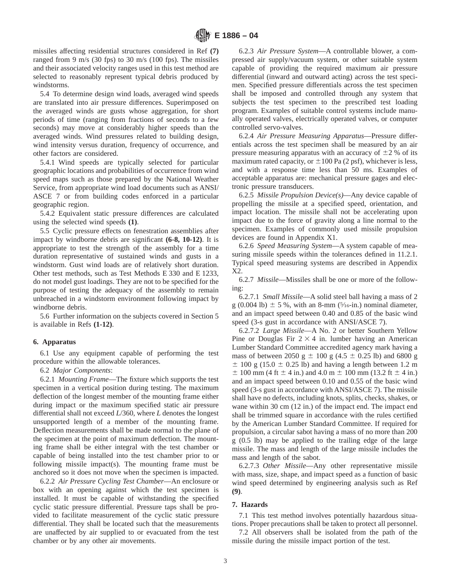missiles affecting residential structures considered in Ref **(7)** ranged from 9 m/s (30 fps) to 30 m/s (100 fps). The missiles and their associated velocity ranges used in this test method are selected to reasonably represent typical debris produced by windstorms.

5.4 To determine design wind loads, averaged wind speeds are translated into air pressure differences. Superimposed on the averaged winds are gusts whose aggregation, for short periods of time (ranging from fractions of seconds to a few seconds) may move at considerably higher speeds than the averaged winds. Wind pressures related to building design, wind intensity versus duration, frequency of occurrence, and other factors are considered.

5.4.1 Wind speeds are typically selected for particular geographic locations and probabilities of occurrence from wind speed maps such as those prepared by the National Weather Service, from appropriate wind load documents such as ANSI/ ASCE 7 or from building codes enforced in a particular geographic region.

5.4.2 Equivalent static pressure differences are calculated using the selected wind speeds **(1)**.

5.5 Cyclic pressure effects on fenestration assemblies after impact by windborne debris are significant **(6-8, 10-12)**. It is appropriate to test the strength of the assembly for a time duration representative of sustained winds and gusts in a windstorm. Gust wind loads are of relatively short duration. Other test methods, such as Test Methods E 330 and E 1233, do not model gust loadings. They are not to be specified for the purpose of testing the adequacy of the assembly to remain unbreached in a windstorm environment following impact by windborne debris.

5.6 Further information on the subjects covered in Section 5 is available in Refs **(1-12)**.

## **6. Apparatus**

6.1 Use any equipment capable of performing the test procedure within the allowable tolerances.

6.2 *Major Components*:

6.2.1 *Mounting Frame*—The fixture which supports the test specimen in a vertical position during testing. The maximum deflection of the longest member of the mounting frame either during impact or the maximum specified static air pressure differential shall not exceed *L*/360, where *L* denotes the longest unsupported length of a member of the mounting frame. Deflection measurements shall be made normal to the plane of the specimen at the point of maximum deflection. The mounting frame shall be either integral with the test chamber or capable of being installed into the test chamber prior to or following missile impact(s). The mounting frame must be anchored so it does not move when the specimen is impacted.

6.2.2 *Air Pressure Cycling Test Chamber*—An enclosure or box with an opening against which the test specimen is installed. It must be capable of withstanding the specified cyclic static pressure differential. Pressure taps shall be provided to facilitate measurement of the cyclic static pressure differential. They shall be located such that the measurements are unaffected by air supplied to or evacuated from the test chamber or by any other air movements.

6.2.3 *Air Pressure System*—A controllable blower, a compressed air supply/vacuum system, or other suitable system capable of providing the required maximum air pressure differential (inward and outward acting) across the test specimen. Specified pressure differentials across the test specimen shall be imposed and controlled through any system that subjects the test specimen to the prescribed test loading program. Examples of suitable control systems include manually operated valves, electrically operated valves, or computer controlled servo-valves.

6.2.4 *Air Pressure Measuring Apparatus*—Pressure differentials across the test specimen shall be measured by an air pressure measuring apparatus with an accuracy of  $\pm 2$  % of its maximum rated capacity, or  $\pm 100$  Pa (2 psf), whichever is less, and with a response time less than 50 ms. Examples of acceptable apparatus are: mechanical pressure gages and electronic pressure transducers.

6.2.5 *Missile Propulsion Device(s)*—Any device capable of propelling the missile at a specified speed, orientation, and impact location. The missile shall not be accelerating upon impact due to the force of gravity along a line normal to the specimen. Examples of commonly used missile propulsion devices are found in Appendix X1.

6.2.6 *Speed Measuring System*—A system capable of measuring missile speeds within the tolerances defined in 11.2.1. Typical speed measuring systems are described in Appendix X2.

6.2.7 *Missile*—Missiles shall be one or more of the following:

6.2.7.1 *Small Missile*—A solid steel ball having a mass of 2 g (0.004 lb)  $\pm$  5 %, with an 8-mm (5/16-in.) nominal diameter, and an impact speed between 0.40 and 0.85 of the basic wind speed (3-s gust in accordance with ANSI/ASCE 7).

6.2.7.2 *Large Missile*—A No. 2 or better Southern Yellow Pine or Douglas Fir  $2 \times 4$  in. lumber having an American Lumber Standard Committee accredited agency mark having a mass of between 2050 g  $\pm$  100 g (4.5  $\pm$  0.25 lb) and 6800 g  $\pm$  100 g (15.0  $\pm$  0.25 lb) and having a length between 1.2 m  $\pm$  100 mm (4 ft  $\pm$  4 in.) and 4.0 m  $\pm$  100 mm (13.2 ft  $\pm$  4 in.) and an impact speed between 0.10 and 0.55 of the basic wind speed (3-s gust in accordance with ANSI/ASCE 7). The missile shall have no defects, including knots, splits, checks, shakes, or wane within 30 cm (12 in.) of the impact end. The impact end shall be trimmed square in accordance with the rules certified by the American Lumber Standard Committee. If required for propulsion, a circular sabot having a mass of no more than 200 g (0.5 lb) may be applied to the trailing edge of the large missile. The mass and length of the large missile includes the mass and length of the sabot.

6.2.7.3 *Other Missile*—Any other representative missile with mass, size, shape, and impact speed as a function of basic wind speed determined by engineering analysis such as Ref **(9)**.

## **7. Hazards**

7.1 This test method involves potentially hazardous situations. Proper precautions shall be taken to protect all personnel.

7.2 All observers shall be isolated from the path of the missile during the missile impact portion of the test.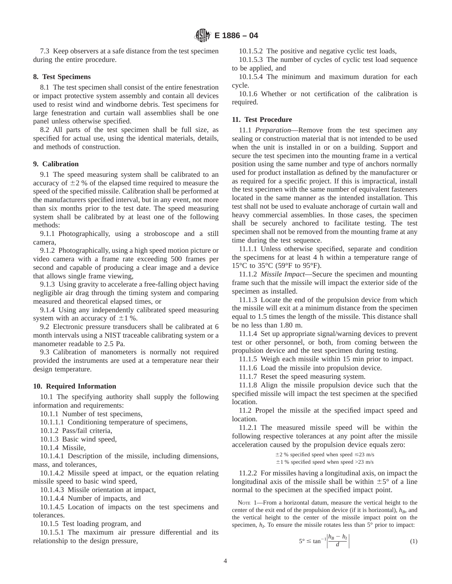7.3 Keep observers at a safe distance from the test specimen during the entire procedure.

# **8. Test Specimens**

8.1 The test specimen shall consist of the entire fenestration or impact protective system assembly and contain all devices used to resist wind and windborne debris. Test specimens for large fenestration and curtain wall assemblies shall be one panel unless otherwise specified.

8.2 All parts of the test specimen shall be full size, as specified for actual use, using the identical materials, details, and methods of construction.

# **9. Calibration**

9.1 The speed measuring system shall be calibrated to an accuracy of  $\pm 2$  % of the elapsed time required to measure the speed of the specified missile. Calibration shall be performed at the manufacturers specified interval, but in any event, not more than six months prior to the test date. The speed measuring system shall be calibrated by at least one of the following methods:

9.1.1 Photographically, using a stroboscope and a still camera,

9.1.2 Photographically, using a high speed motion picture or video camera with a frame rate exceeding 500 frames per second and capable of producing a clear image and a device that allows single frame viewing,

9.1.3 Using gravity to accelerate a free-falling object having negligible air drag through the timing system and comparing measured and theoretical elapsed times, or

9.1.4 Using any independently calibrated speed measuring system with an accuracy of  $\pm 1$  %.

9.2 Electronic pressure transducers shall be calibrated at 6 month intervals using a NIST traceable calibrating system or a manometer readable to 2.5 Pa.

9.3 Calibration of manometers is normally not required provided the instruments are used at a temperature near their design temperature.

# **10. Required Information**

10.1 The specifying authority shall supply the following information and requirements:

10.1.1 Number of test specimens,

10.1.1.1 Conditioning temperature of specimens,

10.1.2 Pass/fail criteria,

10.1.3 Basic wind speed,

10.1.4 Missile,

10.1.4.1 Description of the missile, including dimensions, mass, and tolerances,

10.1.4.2 Missile speed at impact, or the equation relating missile speed to basic wind speed,

10.1.4.3 Missile orientation at impact,

10.1.4.4 Number of impacts, and

10.1.4.5 Location of impacts on the test specimens and tolerances.

10.1.5 Test loading program, and

10.1.5.1 The maximum air pressure differential and its relationship to the design pressure,

10.1.5.2 The positive and negative cyclic test loads,

10.1.5.3 The number of cycles of cyclic test load sequence to be applied, and

10.1.5.4 The minimum and maximum duration for each cycle.

10.1.6 Whether or not certification of the calibration is required.

# **11. Test Procedure**

11.1 *Preparation*—Remove from the test specimen any sealing or construction material that is not intended to be used when the unit is installed in or on a building. Support and secure the test specimen into the mounting frame in a vertical position using the same number and type of anchors normally used for product installation as defined by the manufacturer or as required for a specific project. If this is impractical, install the test specimen with the same number of equivalent fasteners located in the same manner as the intended installation. This test shall not be used to evaluate anchorage of curtain wall and heavy commercial assemblies. In those cases, the specimen shall be securely anchored to facilitate testing. The test specimen shall not be removed from the mounting frame at any time during the test sequence.

11.1.1 Unless otherwise specified, separate and condition the specimens for at least 4 h within a temperature range of 15°C to 35°C (59°F to 95°F).

11.1.2 *Missile Impact*—Secure the specimen and mounting frame such that the missile will impact the exterior side of the specimen as installed.

11.1.3 Locate the end of the propulsion device from which the missile will exit at a minimum distance from the specimen equal to 1.5 times the length of the missile. This distance shall be no less than 1.80 m.

11.1.4 Set up appropriate signal/warning devices to prevent test or other personnel, or both, from coming between the propulsion device and the test specimen during testing.

11.1.5 Weigh each missile within 15 min prior to impact.

11.1.6 Load the missile into propulsion device.

11.1.7 Reset the speed measuring system.

11.1.8 Align the missile propulsion device such that the specified missile will impact the test specimen at the specified location.

11.2 Propel the missile at the specified impact speed and location.

11.2.1 The measured missile speed will be within the following respective tolerances at any point after the missile acceleration caused by the propulsion device equals zero:

> $\pm$ 2 % specified speed when speed  $\leq$ 23 m/s  $\pm 1$  % specified speed when speed >23 m/s

11.2.2 For missiles having a longitudinal axis, on impact the longitudinal axis of the missile shall be within  $\pm 5^{\circ}$  of a line normal to the specimen at the specified impact point.

NOTE 1—From a horizontal datum, measure the vertical height to the center of the exit end of the propulsion device (if it is horizontal),  $h_B$ , and the vertical height to the center of the missile impact point on the specimen,  $h_I$ . To ensure the missile rotates less than  $5^\circ$  prior to impact:

$$
5^{\circ} \le \tan^{-1} \left| \frac{h_B - h_I}{d} \right| \tag{1}
$$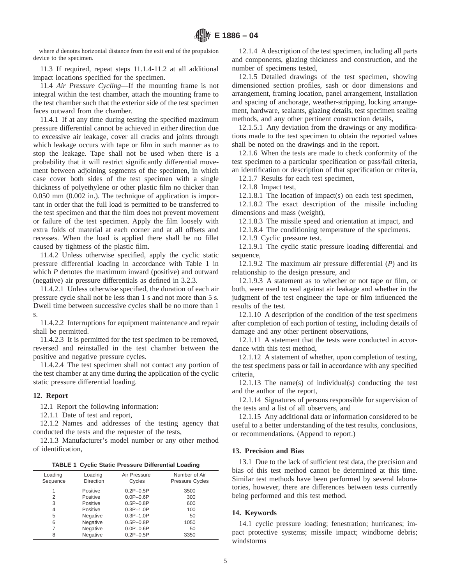where *d* denotes horizontal distance from the exit end of the propulsion device to the specimen.

11.3 If required, repeat steps 11.1.4-11.2 at all additional impact locations specified for the specimen.

11.4 *Air Pressure Cycling*—If the mounting frame is not integral within the test chamber, attach the mounting frame to the test chamber such that the exterior side of the test specimen faces outward from the chamber.

11.4.1 If at any time during testing the specified maximum pressure differential cannot be achieved in either direction due to excessive air leakage, cover all cracks and joints through which leakage occurs with tape or film in such manner as to stop the leakage. Tape shall not be used when there is a probability that it will restrict significantly differential movement between adjoining segments of the specimen, in which case cover both sides of the test specimen with a single thickness of polyethylene or other plastic film no thicker than 0.050 mm (0.002 in.). The technique of application is important in order that the full load is permitted to be transferred to the test specimen and that the film does not prevent movement or failure of the test specimen. Apply the film loosely with extra folds of material at each corner and at all offsets and recesses. When the load is applied there shall be no fillet caused by tightness of the plastic film.

11.4.2 Unless otherwise specified, apply the cyclic static pressure differential loading in accordance with Table 1 in which *P* denotes the maximum inward (positive) and outward (negative) air pressure differentials as defined in 3.2.3.

11.4.2.1 Unless otherwise specified, the duration of each air pressure cycle shall not be less than 1 s and not more than 5 s. Dwell time between successive cycles shall be no more than 1 s.

11.4.2.2 Interruptions for equipment maintenance and repair shall be permitted.

11.4.2.3 It is permitted for the test specimen to be removed, reversed and reinstalled in the test chamber between the positive and negative pressure cycles.

11.4.2.4 The test specimen shall not contact any portion of the test chamber at any time during the application of the cyclic static pressure differential loading.

## **12. Report**

12.1 Report the following information:

12.1.1 Date of test and report,

12.1.2 Names and addresses of the testing agency that conducted the tests and the requester of the tests,

12.1.3 Manufacturer's model number or any other method of identification,

**TABLE 1 Cyclic Static Pressure Differential Loading**

| Loading<br>Sequence | Loading<br><b>Direction</b> | Air Pressure<br>Cycles | Number of Air<br><b>Pressure Cycles</b> |
|---------------------|-----------------------------|------------------------|-----------------------------------------|
|                     | Positive                    | $0.2P - 0.5P$          | 3500                                    |
| 2                   | Positive                    | $0.0P - 0.6P$          | 300                                     |
| 3                   | Positive                    | $0.5P - 0.8P$          | 600                                     |
| 4                   | Positive                    | $0.3P - 1.0P$          | 100                                     |
| 5                   | Negative                    | $0.3P - 1.0P$          | 50                                      |
| 6                   | Negative                    | $0.5P - 0.8P$          | 1050                                    |
|                     | Negative                    | $0.0P - 0.6P$          | 50                                      |
| 8                   | Negative                    | $0.2P - 0.5P$          | 3350                                    |

12.1.4 A description of the test specimen, including all parts and components, glazing thickness and construction, and the number of specimens tested,

12.1.5 Detailed drawings of the test specimen, showing dimensioned section profiles, sash or door dimensions and arrangement, framing location, panel arrangement, installation and spacing of anchorage, weather-stripping, locking arrangement, hardware, sealants, glazing details, test specimen sealing methods, and any other pertinent construction details,

12.1.5.1 Any deviation from the drawings or any modifications made to the test specimen to obtain the reported values shall be noted on the drawings and in the report.

12.1.6 When the tests are made to check conformity of the test specimen to a particular specification or pass/fail criteria, an identification or description of that specification or criteria,

12.1.7 Results for each test specimen,

12.1.8 Impact test,

12.1.8.1 The location of impact(s) on each test specimen,

12.1.8.2 The exact description of the missile including dimensions and mass (weight),

12.1.8.3 The missile speed and orientation at impact, and

12.1.8.4 The conditioning temperature of the specimens.

12.1.9 Cyclic pressure test,

12.1.9.1 The cyclic static pressure loading differential and sequence,

12.1.9.2 The maximum air pressure differential (*P*) and its relationship to the design pressure, and

12.1.9.3 A statement as to whether or not tape or film, or both, were used to seal against air leakage and whether in the judgment of the test engineer the tape or film influenced the results of the test.

12.1.10 A description of the condition of the test specimens after completion of each portion of testing, including details of damage and any other pertinent observations,

12.1.11 A statement that the tests were conducted in accordance with this test method,

12.1.12 A statement of whether, upon completion of testing, the test specimens pass or fail in accordance with any specified criteria,

12.1.13 The name(s) of individual(s) conducting the test and the author of the report,

12.1.14 Signatures of persons responsible for supervision of the tests and a list of all observers, and

12.1.15 Any additional data or information considered to be useful to a better understanding of the test results, conclusions, or recommendations. (Append to report.)

#### **13. Precision and Bias**

13.1 Due to the lack of sufficient test data, the precision and bias of this test method cannot be determined at this time. Similar test methods have been performed by several laboratories, however, there are differences between tests currently being performed and this test method.

## **14. Keywords**

14.1 cyclic pressure loading; fenestration; hurricanes; impact protective systems; missile impact; windborne debris; windstorms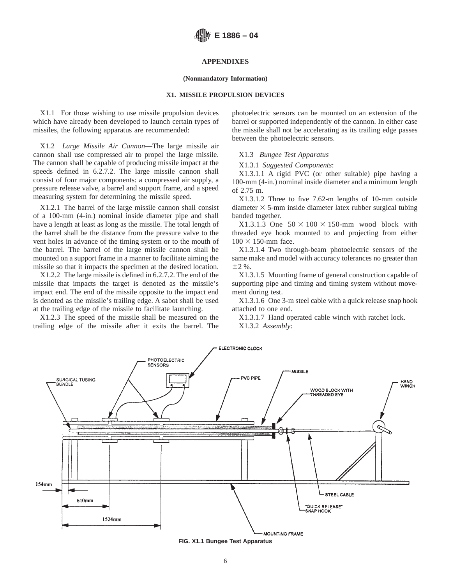# **APPENDIXES**

#### **(Nonmandatory Information)**

## **X1. MISSILE PROPULSION DEVICES**

X1.1 For those wishing to use missile propulsion devices which have already been developed to launch certain types of missiles, the following apparatus are recommended:

X1.2 *Large Missile Air Cannon*—The large missile air cannon shall use compressed air to propel the large missile. The cannon shall be capable of producing missile impact at the speeds defined in 6.2.7.2. The large missile cannon shall consist of four major components: a compressed air supply, a pressure release valve, a barrel and support frame, and a speed measuring system for determining the missile speed.

X1.2.1 The barrel of the large missile cannon shall consist of a 100-mm (4-in.) nominal inside diameter pipe and shall have a length at least as long as the missile. The total length of the barrel shall be the distance from the pressure valve to the vent holes in advance of the timing system or to the mouth of the barrel. The barrel of the large missile cannon shall be mounted on a support frame in a manner to facilitate aiming the missile so that it impacts the specimen at the desired location.

X1.2.2 The large missile is defined in 6.2.7.2. The end of the missile that impacts the target is denoted as the missile's impact end. The end of the missile opposite to the impact end is denoted as the missile's trailing edge. A sabot shall be used at the trailing edge of the missile to facilitate launching.

X1.2.3 The speed of the missile shall be measured on the trailing edge of the missile after it exits the barrel. The photoelectric sensors can be mounted on an extension of the barrel or supported independently of the cannon. In either case the missile shall not be accelerating as its trailing edge passes between the photoelectric sensors.

#### X1.3 *Bungee Test Apparatus*

#### X1.3.1 *Suggested Components*:

X1.3.1.1 A rigid PVC (or other suitable) pipe having a 100-mm (4-in.) nominal inside diameter and a minimum length of 2.75 m.

X1.3.1.2 Three to five 7.62-m lengths of 10-mm outside diameter  $\times$  5-mm inside diameter latex rubber surgical tubing banded together.

X1.3.1.3 One  $50 \times 100 \times 150$ -mm wood block with threaded eye hook mounted to and projecting from either  $100 \times 150$ -mm face.

X1.3.1.4 Two through-beam photoelectric sensors of the same make and model with accuracy tolerances no greater than  $±2 \%$ .

X1.3.1.5 Mounting frame of general construction capable of supporting pipe and timing and timing system without movement during test.

X1.3.1.6 One 3-m steel cable with a quick release snap hook attached to one end.

X1.3.1.7 Hand operated cable winch with ratchet lock. X1.3.2 *Assembly*:



**FIG. X1.1 Bungee Test Apparatus**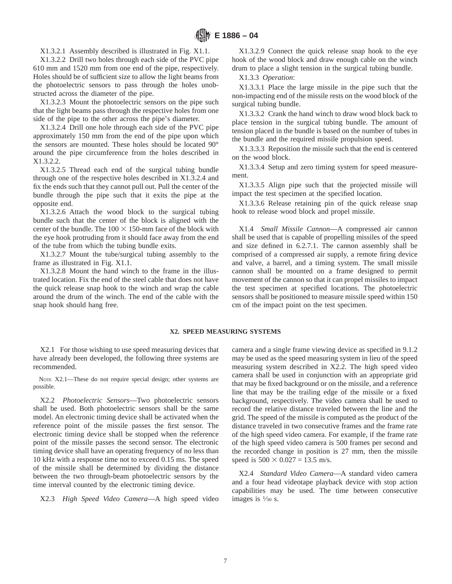X1.3.2.1 Assembly described is illustrated in Fig. X1.1.

X1.3.2.2 Drill two holes through each side of the PVC pipe 610 mm and 1520 mm from one end of the pipe, respectively. Holes should be of sufficient size to allow the light beams from the photoelectric sensors to pass through the holes unobstructed across the diameter of the pipe.

X1.3.2.3 Mount the photoelectric sensors on the pipe such that the light beams pass through the respective holes from one side of the pipe to the other across the pipe's diameter.

X1.3.2.4 Drill one hole through each side of the PVC pipe approximately 150 mm from the end of the pipe upon which the sensors are mounted. These holes should be located 90° around the pipe circumference from the holes described in X1.3.2.2.

X1.3.2.5 Thread each end of the surgical tubing bundle through one of the respective holes described in X1.3.2.4 and fix the ends such that they cannot pull out. Pull the center of the bundle through the pipe such that it exits the pipe at the opposite end.

X1.3.2.6 Attach the wood block to the surgical tubing bundle such that the center of the block is aligned with the center of the bundle. The  $100 \times 150$ -mm face of the block with the eye hook protruding from it should face away from the end of the tube from which the tubing bundle exits.

X1.3.2.7 Mount the tube/surgical tubing assembly to the frame as illustrated in Fig. X1.1.

X1.3.2.8 Mount the hand winch to the frame in the illustrated location. Fix the end of the steel cable that does not have the quick release snap hook to the winch and wrap the cable around the drum of the winch. The end of the cable with the snap hook should hang free.

X1.3.2.9 Connect the quick release snap hook to the eye hook of the wood block and draw enough cable on the winch drum to place a slight tension in the surgical tubing bundle.

X1.3.3 *Operation*:

X1.3.3.1 Place the large missile in the pipe such that the non-impacting end of the missile rests on the wood block of the surgical tubing bundle.

X1.3.3.2 Crank the hand winch to draw wood block back to place tension in the surgical tubing bundle. The amount of tension placed in the bundle is based on the number of tubes in the bundle and the required missile propulsion speed.

X1.3.3.3 Reposition the missile such that the end is centered on the wood block.

X1.3.3.4 Setup and zero timing system for speed measurement.

X1.3.3.5 Align pipe such that the projected missile will impact the test specimen at the specified location.

X1.3.3.6 Release retaining pin of the quick release snap hook to release wood block and propel missile.

X1.4 *Small Missile Cannon*—A compressed air cannon shall be used that is capable of propelling missiles of the speed and size defined in 6.2.7.1. The cannon assembly shall be comprised of a compressed air supply, a remote firing device and valve, a barrel, and a timing system. The small missile cannon shall be mounted on a frame designed to permit movement of the cannon so that it can propel missiles to impact the test specimen at specified locations. The photoelectric sensors shall be positioned to measure missile speed within 150 cm of the impact point on the test specimen.

## **X2. SPEED MEASURING SYSTEMS**

X2.1 For those wishing to use speed measuring devices that have already been developed, the following three systems are recommended.

NOTE X2.1—These do not require special design; other systems are possible.

X2.2 *Photoelectric Sensors*—Two photoelectric sensors shall be used. Both photoelectric sensors shall be the same model. An electronic timing device shall be activated when the reference point of the missile passes the first sensor. The electronic timing device shall be stopped when the reference point of the missile passes the second sensor. The electronic timing device shall have an operating frequency of no less than 10 kHz with a response time not to exceed 0.15 ms. The speed of the missile shall be determined by dividing the distance between the two through-beam photoelectric sensors by the time interval counted by the electronic timing device.

X2.3 *High Speed Video Camera*—A high speed video

camera and a single frame viewing device as specified in 9.1.2 may be used as the speed measuring system in lieu of the speed measuring system described in X2.2. The high speed video camera shall be used in conjunction with an appropriate grid that may be fixed background or on the missile, and a reference line that may be the trailing edge of the missile or a fixed background, respectively. The video camera shall be used to record the relative distance traveled between the line and the grid. The speed of the missile is computed as the product of the distance traveled in two consecutive frames and the frame rate of the high speed video camera. For example, if the frame rate of the high speed video camera is 500 frames per second and the recorded change in position is 27 mm, then the missile speed is  $500 \times 0.027 = 13.5$  m/s.

X2.4 *Standard Video Camera*—A standard video camera and a four head videotape playback device with stop action capabilities may be used. The time between consecutive images is  $\frac{1}{30}$  s.